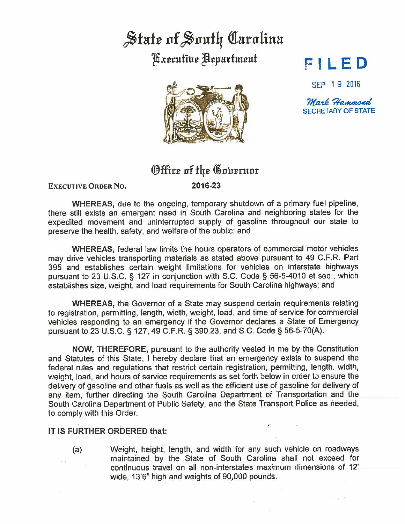## State of South Carolina

**Fxecutive Department** 



## **FI L ED**

SEP 1 9 2016

Mark Hammond SECRETARY OF STATE

Show the

## **Office of the Governor**

**EXECUTIVE ORDER No.** 

**2016-23** 

**WHEREAS, due to the ongoing, temporary shutdown of a primary fuel pipeline,** there still exists an emergent need in South Carolina and neighboring states for the expedited movement and uninterrupted supply of gasoline throughout our state to preserve the health, safety, and welfare of the public; and

**WHEREAS,** federal law limits the hours operators of commercial motor vehicles may drive vehicles transporting materials as stated above pursuant to 49 C.F.R. Part 395 and establishes certain weight limitations for vehicles on interstate highways pursuant to 23 U.S.C. § 127 in conjunction with S.C. Code§ 56-5-4010 et seq., which estabiishes size, weight, and load requirements for South Carolina highways; and

**WHEREAS,** the Governor of a State may suspend certain requirements relating to registration, permitting, length, width, weight, load, and time of service for commercial vehicles responding to an emergency if the Governor declares a State of Emergency pursuant to 23 U.S.C. § 127, 49 C.F.R. § 390.23, and S.C. Code§ 56-5-70(A).

**NOW,** THEREFORE, pursuant to the authority vested in me by the Constitution and Statutes of this State, I hereby declare that an emergency exists to suspend the federal rules and regulations that restrict certain registration, permitting, length, width, weight, load, and hours of service requirements as set forth below in order to ensure the delivery of gasoline and other fuels as well as the efficient use of gasoline for delivery of any item, further directing the South Carolina Department of Transportation and the South Carolina Department of Public Safety, and the State Transport Police as needed, to comply with this Order.

## IT **IS FURTHER ORDERED that:**

(a) Weight, height, length, and width for any such vehicle on roadways maintained by the State of South Carolina shall not exceed for continuous travel on all non-interstates maximum dimensions of 12' wide, 13'6" high and weights of 90,000 pounds.